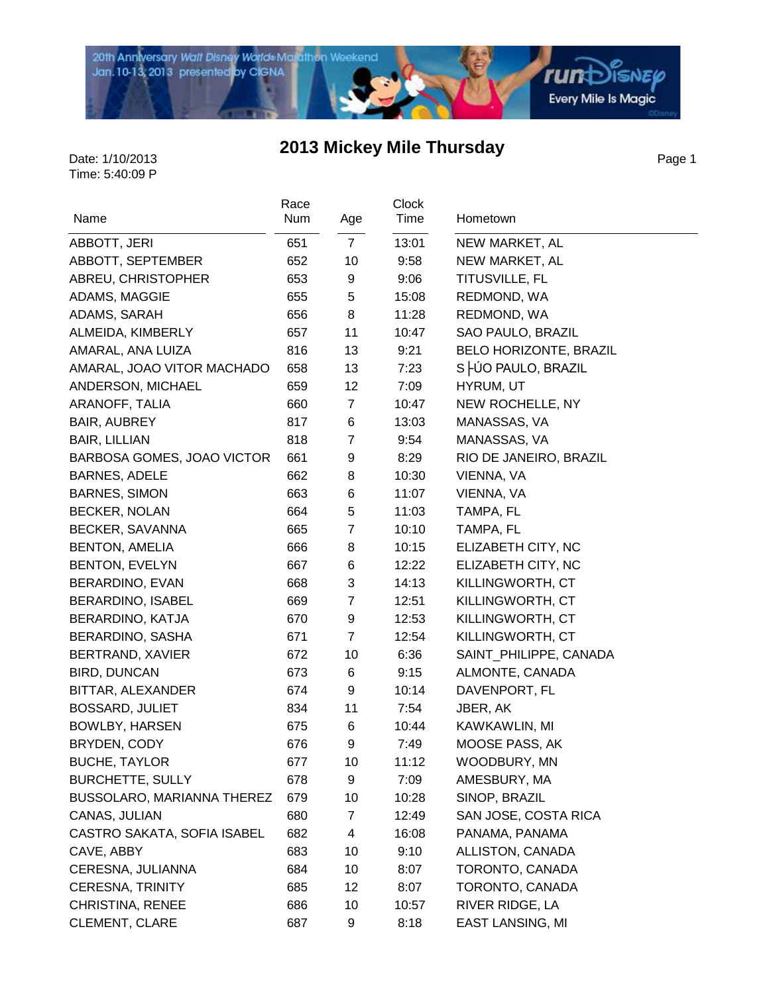

**rund**SNEP Every Mile Is Magic

### **2013 Mickey Mile Thursday**

Page 1

|                             | Race |                 | <b>Clock</b> |                         |
|-----------------------------|------|-----------------|--------------|-------------------------|
| Name                        | Num  | Age             | Time         | Hometown                |
| ABBOTT, JERI                | 651  | $7\overline{ }$ | 13:01        | NEW MARKET, AL          |
| ABBOTT, SEPTEMBER           | 652  | 10              | 9:58         | NEW MARKET, AL          |
| ABREU, CHRISTOPHER          | 653  | 9               | 9:06         | TITUSVILLE, FL          |
| ADAMS, MAGGIE               | 655  | 5               | 15:08        | REDMOND, WA             |
| ADAMS, SARAH                | 656  | 8               | 11:28        | REDMOND, WA             |
| ALMEIDA, KIMBERLY           | 657  | 11              | 10:47        | SAO PAULO, BRAZIL       |
| AMARAL, ANA LUIZA           | 816  | 13              | 9:21         | BELO HORIZONTE, BRAZIL  |
| AMARAL, JOAO VITOR MACHADO  | 658  | 13              | 7:23         | S -UO PAULO, BRAZIL     |
| ANDERSON, MICHAEL           | 659  | 12              | 7:09         | HYRUM, UT               |
| ARANOFF, TALIA              | 660  | 7               | 10:47        | NEW ROCHELLE, NY        |
| <b>BAIR, AUBREY</b>         | 817  | 6               | 13:03        | MANASSAS, VA            |
| <b>BAIR, LILLIAN</b>        | 818  | $\overline{7}$  | 9:54         | MANASSAS, VA            |
| BARBOSA GOMES, JOAO VICTOR  | 661  | 9               | 8:29         | RIO DE JANEIRO, BRAZIL  |
| <b>BARNES, ADELE</b>        | 662  | 8               | 10:30        | VIENNA, VA              |
| <b>BARNES, SIMON</b>        | 663  | 6               | 11:07        | VIENNA, VA              |
| <b>BECKER, NOLAN</b>        | 664  | 5               | 11:03        | TAMPA, FL               |
| BECKER, SAVANNA             | 665  | $\overline{7}$  | 10:10        | TAMPA, FL               |
| <b>BENTON, AMELIA</b>       | 666  | 8               | 10:15        | ELIZABETH CITY, NC      |
| <b>BENTON, EVELYN</b>       | 667  | 6               | 12:22        | ELIZABETH CITY, NC      |
| BERARDINO, EVAN             | 668  | 3               | 14:13        | KILLINGWORTH, CT        |
| BERARDINO, ISABEL           | 669  | $\overline{7}$  | 12:51        | KILLINGWORTH, CT        |
| BERARDINO, KATJA            | 670  | 9               | 12:53        | KILLINGWORTH, CT        |
| BERARDINO, SASHA            | 671  | $\overline{7}$  | 12:54        | KILLINGWORTH, CT        |
| BERTRAND, XAVIER            | 672  | 10              | 6:36         | SAINT_PHILIPPE, CANADA  |
| <b>BIRD, DUNCAN</b>         | 673  | 6               | 9:15         | ALMONTE, CANADA         |
| BITTAR, ALEXANDER           | 674  | 9               | 10:14        | DAVENPORT, FL           |
| BOSSARD, JULIET             | 834  | 11              | 7:54         | JBER, AK                |
| BOWLBY, HARSEN              | 675  | 6               | 10:44        | KAWKAWLIN, MI           |
| BRYDEN, CODY                | 676  | 9               | 7:49         | MOOSE PASS, AK          |
| <b>BUCHE, TAYLOR</b>        | 677  | 10              | 11:12        | WOODBURY, MN            |
| <b>BURCHETTE, SULLY</b>     | 678  | 9               | 7:09         | AMESBURY, MA            |
| BUSSOLARO, MARIANNA THEREZ  | 679  | 10              | 10:28        | SINOP, BRAZIL           |
| CANAS, JULIAN               | 680  | 7               | 12:49        | SAN JOSE, COSTA RICA    |
| CASTRO SAKATA, SOFIA ISABEL | 682  | 4               | 16:08        | PANAMA, PANAMA          |
| CAVE, ABBY                  | 683  | 10              | 9:10         | ALLISTON, CANADA        |
| CERESNA, JULIANNA           | 684  | 10              | 8:07         | TORONTO, CANADA         |
| <b>CERESNA, TRINITY</b>     | 685  | 12              | 8:07         | TORONTO, CANADA         |
| CHRISTINA, RENEE            | 686  | 10              | 10:57        | RIVER RIDGE, LA         |
| <b>CLEMENT, CLARE</b>       | 687  | 9               | 8:18         | <b>EAST LANSING, MI</b> |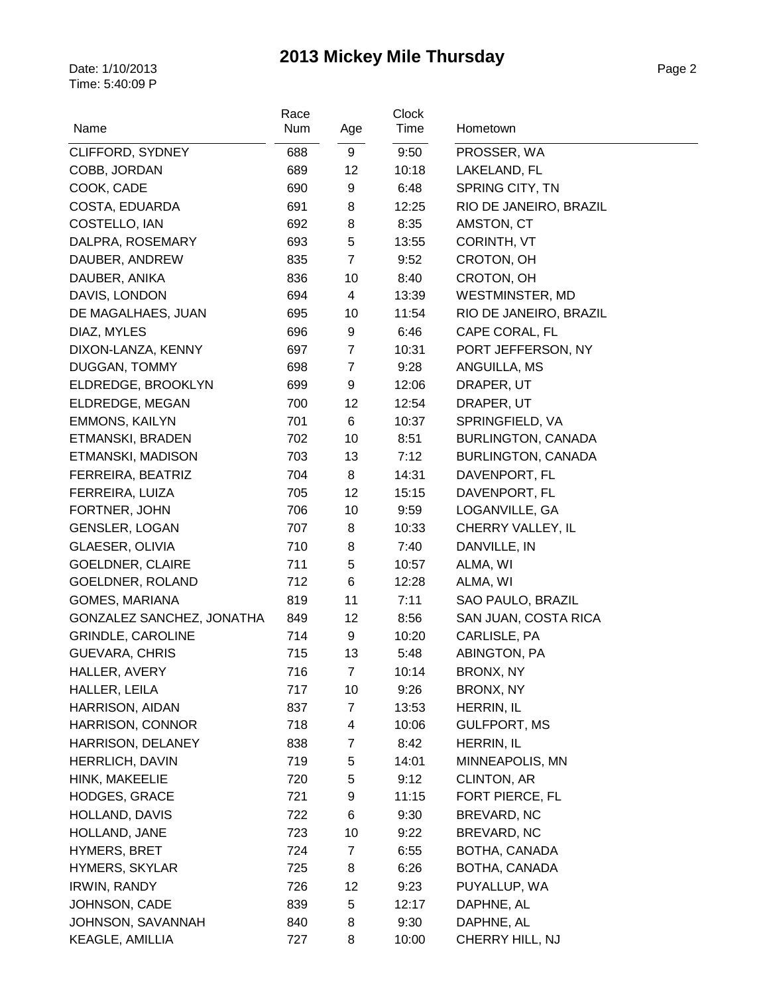|                           | Race |                | Clock |                           |
|---------------------------|------|----------------|-------|---------------------------|
| Name                      | Num  | Age            | Time  | Hometown                  |
| CLIFFORD, SYDNEY          | 688  | 9              | 9:50  | PROSSER, WA               |
| COBB, JORDAN              | 689  | 12             | 10:18 | LAKELAND, FL              |
| COOK, CADE                | 690  | 9              | 6:48  | SPRING CITY, TN           |
| COSTA, EDUARDA            | 691  | 8              | 12:25 | RIO DE JANEIRO, BRAZIL    |
| COSTELLO, IAN             | 692  | 8              | 8:35  | AMSTON, CT                |
| DALPRA, ROSEMARY          | 693  | 5              | 13:55 | <b>CORINTH, VT</b>        |
| DAUBER, ANDREW            | 835  | $\overline{7}$ | 9:52  | CROTON, OH                |
| DAUBER, ANIKA             | 836  | 10             | 8:40  | CROTON, OH                |
| DAVIS, LONDON             | 694  | 4              | 13:39 | <b>WESTMINSTER, MD</b>    |
| DE MAGALHAES, JUAN        | 695  | 10             | 11:54 | RIO DE JANEIRO, BRAZIL    |
| DIAZ, MYLES               | 696  | 9              | 6:46  | CAPE CORAL, FL            |
| DIXON-LANZA, KENNY        | 697  | $\overline{7}$ | 10:31 | PORT JEFFERSON, NY        |
| DUGGAN, TOMMY             | 698  | $\overline{7}$ | 9:28  | ANGUILLA, MS              |
| ELDREDGE, BROOKLYN        | 699  | 9              | 12:06 | DRAPER, UT                |
| ELDREDGE, MEGAN           | 700  | 12             | 12:54 | DRAPER, UT                |
| <b>EMMONS, KAILYN</b>     | 701  | 6              | 10:37 | SPRINGFIELD, VA           |
| ETMANSKI, BRADEN          | 702  | 10             | 8:51  | BURLINGTON, CANADA        |
| ETMANSKI, MADISON         | 703  | 13             | 7:12  | <b>BURLINGTON, CANADA</b> |
| FERREIRA, BEATRIZ         | 704  | 8              | 14:31 | DAVENPORT, FL             |
| FERREIRA, LUIZA           | 705  | 12             | 15:15 | DAVENPORT, FL             |
| FORTNER, JOHN             | 706  | 10             | 9:59  | LOGANVILLE, GA            |
| <b>GENSLER, LOGAN</b>     | 707  | 8              | 10:33 | CHERRY VALLEY, IL         |
| GLAESER, OLIVIA           | 710  | 8              | 7:40  | DANVILLE, IN              |
| <b>GOELDNER, CLAIRE</b>   | 711  | 5              | 10:57 | ALMA, WI                  |
| GOELDNER, ROLAND          | 712  | 6              | 12:28 | ALMA, WI                  |
| GOMES, MARIANA            | 819  | 11             | 7:11  | SAO PAULO, BRAZIL         |
| GONZALEZ SANCHEZ, JONATHA | 849  | 12             | 8:56  | SAN JUAN, COSTA RICA      |
| <b>GRINDLE, CAROLINE</b>  | 714  | 9              | 10:20 | CARLISLE, PA              |
| <b>GUEVARA, CHRIS</b>     | 715  | 13             | 5:48  | ABINGTON, PA              |
| HALLER, AVERY             | 716  | $\overline{7}$ | 10:14 | BRONX, NY                 |
| HALLER, LEILA             | 717  | 10             | 9:26  | BRONX, NY                 |
| <b>HARRISON, AIDAN</b>    | 837  | 7              | 13:53 | HERRIN, IL                |
| HARRISON, CONNOR          | 718  | 4              | 10:06 | <b>GULFPORT, MS</b>       |
| HARRISON, DELANEY         | 838  | $\overline{7}$ | 8:42  | HERRIN, IL                |
| HERRLICH, DAVIN           | 719  | 5              | 14:01 | MINNEAPOLIS, MN           |
| HINK, MAKEELIE            | 720  | 5              | 9:12  | <b>CLINTON, AR</b>        |
| <b>HODGES, GRACE</b>      | 721  | 9              | 11:15 | FORT PIERCE, FL           |
| HOLLAND, DAVIS            | 722  | 6              | 9:30  | BREVARD, NC               |
| HOLLAND, JANE             | 723  | 10             | 9:22  | BREVARD, NC               |
| <b>HYMERS, BRET</b>       | 724  | 7              | 6:55  | BOTHA, CANADA             |
| <b>HYMERS, SKYLAR</b>     | 725  | 8              | 6:26  | BOTHA, CANADA             |
| <b>IRWIN, RANDY</b>       | 726  | 12             | 9:23  | PUYALLUP, WA              |
| JOHNSON, CADE             | 839  | 5              | 12:17 | DAPHNE, AL                |
| JOHNSON, SAVANNAH         | 840  | 8              | 9:30  | DAPHNE, AL                |
| KEAGLE, AMILLIA           | 727  | 8              | 10:00 | CHERRY HILL, NJ           |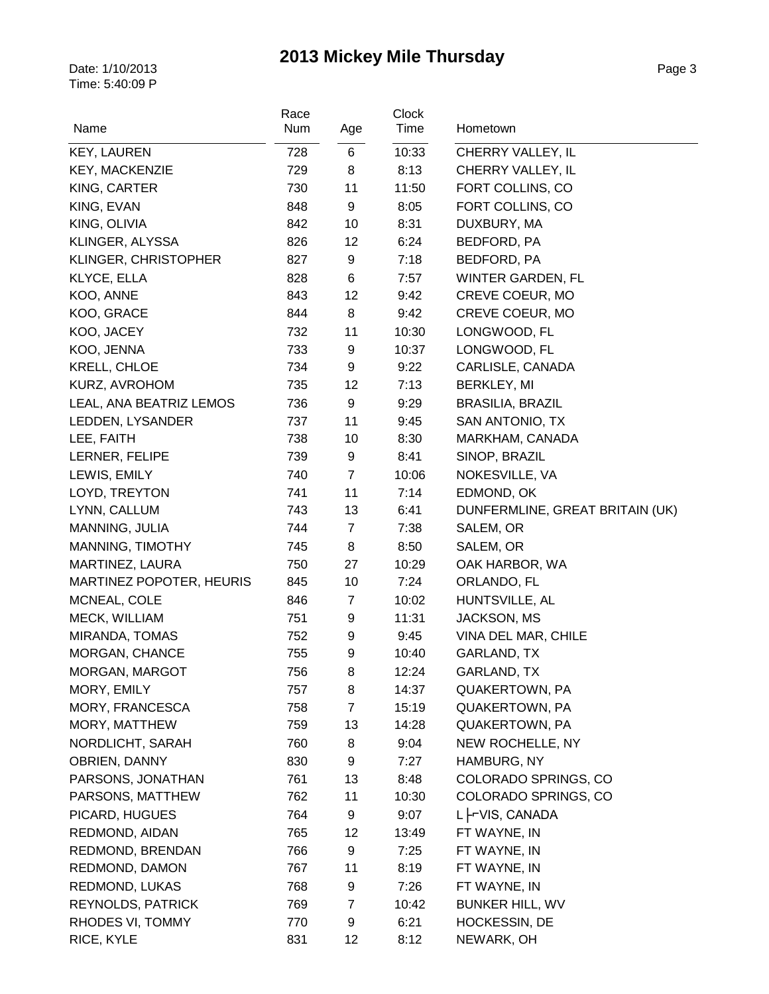| Name                            | Race<br>Num | Age            | Clock<br>Time | Hometown                                    |
|---------------------------------|-------------|----------------|---------------|---------------------------------------------|
|                                 |             |                |               |                                             |
| <b>KEY, LAUREN</b>              | 728         | 6              | 10:33         | CHERRY VALLEY, IL                           |
| KEY, MACKENZIE                  | 729         | 8              | 8:13          | CHERRY VALLEY, IL                           |
| KING, CARTER                    | 730         | 11             | 11:50         | FORT COLLINS, CO                            |
| KING, EVAN                      | 848         | 9              | 8:05          | FORT COLLINS, CO                            |
| KING, OLIVIA                    | 842         | 10             | 8:31          | DUXBURY, MA                                 |
| KLINGER, ALYSSA                 | 826         | 12             | 6:24          | BEDFORD, PA                                 |
| KLINGER, CHRISTOPHER            | 827         | 9              | 7:18          | BEDFORD, PA                                 |
| KLYCE, ELLA<br>KOO, ANNE        | 828<br>843  | 6<br>12        | 7:57          | <b>WINTER GARDEN, FL</b><br>CREVE COEUR, MO |
| KOO, GRACE                      | 844         | 8              | 9:42<br>9:42  | CREVE COEUR, MO                             |
| KOO, JACEY                      | 732         | 11             | 10:30         | LONGWOOD, FL                                |
| KOO, JENNA                      | 733         | 9              | 10:37         | LONGWOOD, FL                                |
| <b>KRELL, CHLOE</b>             | 734         | 9              | 9:22          | CARLISLE, CANADA                            |
| KURZ, AVROHOM                   | 735         | 12             | 7:13          | <b>BERKLEY, MI</b>                          |
| LEAL, ANA BEATRIZ LEMOS         | 736         | 9              | 9:29          | <b>BRASILIA, BRAZIL</b>                     |
| LEDDEN, LYSANDER                | 737         | 11             | 9:45          | SAN ANTONIO, TX                             |
| LEE, FAITH                      | 738         | 10             | 8:30          | MARKHAM, CANADA                             |
| LERNER, FELIPE                  | 739         | 9              | 8:41          | SINOP, BRAZIL                               |
| LEWIS, EMILY                    | 740         | $\overline{7}$ | 10:06         | NOKESVILLE, VA                              |
| LOYD, TREYTON                   | 741         | 11             | 7:14          | EDMOND, OK                                  |
| LYNN, CALLUM                    | 743         | 13             | 6:41          | DUNFERMLINE, GREAT BRITAIN (UK)             |
| MANNING, JULIA                  | 744         | $\overline{7}$ | 7:38          | SALEM, OR                                   |
| MANNING, TIMOTHY                | 745         | 8              | 8:50          | SALEM, OR                                   |
| MARTINEZ, LAURA                 | 750         | 27             | 10:29         | OAK HARBOR, WA                              |
| <b>MARTINEZ POPOTER, HEURIS</b> | 845         | 10             | 7:24          | ORLANDO, FL                                 |
| MCNEAL, COLE                    | 846         | 7              | 10:02         | HUNTSVILLE, AL                              |
| MECK, WILLIAM                   | 751         | 9              | 11:31         | JACKSON, MS                                 |
| MIRANDA, TOMAS                  | 752         | 9              | 9:45          | VINA DEL MAR, CHILE                         |
| MORGAN, CHANCE                  | 755         | 9              | 10:40         | GARLAND, TX                                 |
| MORGAN, MARGOT                  | 756         | 8              | 12:24         | GARLAND, TX                                 |
| MORY, EMILY                     | 757         | 8              | 14:37         | QUAKERTOWN, PA                              |
| MORY, FRANCESCA                 | 758         | $\overline{7}$ | 15:19         | <b>QUAKERTOWN, PA</b>                       |
| MORY, MATTHEW                   | 759         | 13             | 14:28         | <b>QUAKERTOWN, PA</b>                       |
| NORDLICHT, SARAH                | 760         | 8              | 9:04          | NEW ROCHELLE, NY                            |
| OBRIEN, DANNY                   | 830         | 9              | 7:27          | HAMBURG, NY                                 |
| PARSONS, JONATHAN               | 761         | 13             | 8:48          | COLORADO SPRINGS, CO                        |
| PARSONS, MATTHEW                | 762         | 11             | 10:30         | COLORADO SPRINGS, CO                        |
| PICARD, HUGUES                  | 764         | 9              | 9:07          | L -VIS, CANADA                              |
| REDMOND, AIDAN                  | 765         | 12             | 13:49         | FT WAYNE, IN                                |
| REDMOND, BRENDAN                | 766         | 9              | 7:25          | FT WAYNE, IN                                |
| REDMOND, DAMON                  | 767         | 11             | 8:19          | FT WAYNE, IN                                |
| REDMOND, LUKAS                  | 768         | 9              | 7:26          | FT WAYNE, IN                                |
| <b>REYNOLDS, PATRICK</b>        | 769         | $\overline{7}$ | 10:42         | <b>BUNKER HILL, WV</b>                      |
| RHODES VI, TOMMY                | 770         | 9              | 6:21          | HOCKESSIN, DE                               |
| RICE, KYLE                      | 831         | 12             | 8:12          | NEWARK, OH                                  |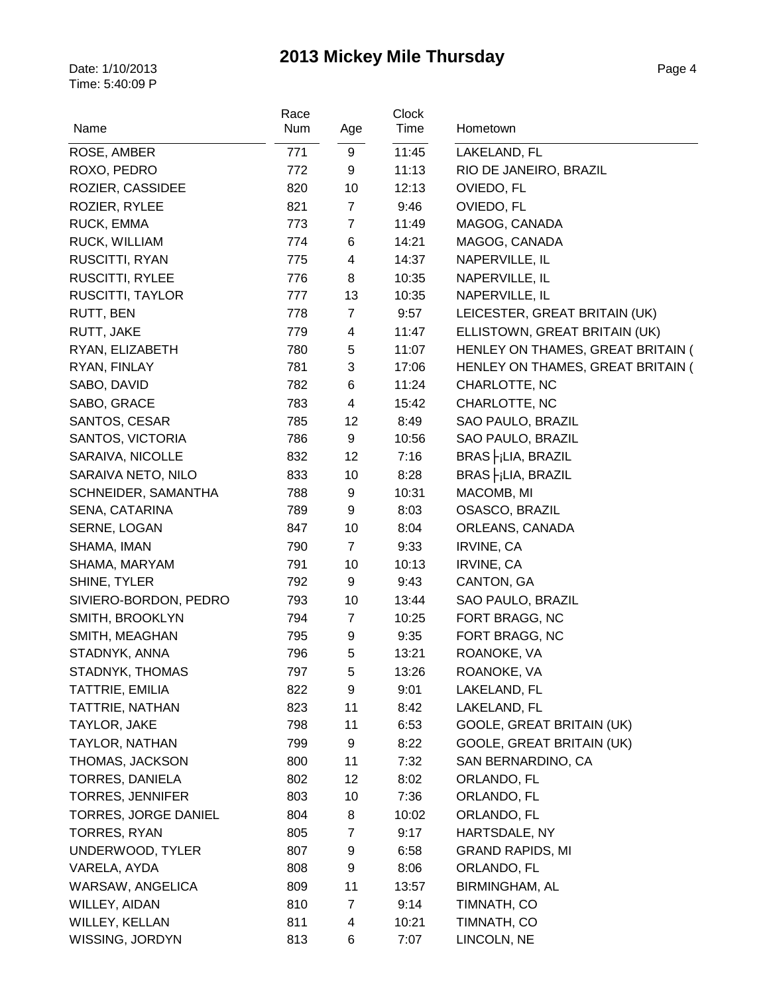| Name                        | Race |                | Clock<br>Time | Hometown                          |
|-----------------------------|------|----------------|---------------|-----------------------------------|
|                             | Num  | Age            |               |                                   |
| ROSE, AMBER                 | 771  | 9              | 11:45         | LAKELAND, FL                      |
| ROXO, PEDRO                 | 772  | 9              | 11:13         | RIO DE JANEIRO, BRAZIL            |
| ROZIER, CASSIDEE            | 820  | 10             | 12:13         | OVIEDO, FL                        |
| ROZIER, RYLEE               | 821  | $\overline{7}$ | 9:46          | OVIEDO, FL                        |
| RUCK, EMMA                  | 773  | $\overline{7}$ | 11:49         | MAGOG, CANADA                     |
| RUCK, WILLIAM               | 774  | 6              | 14:21         | MAGOG, CANADA                     |
| RUSCITTI, RYAN              | 775  | 4              | 14:37         | NAPERVILLE, IL                    |
| RUSCITTI, RYLEE             | 776  | 8              | 10:35         | NAPERVILLE, IL                    |
| RUSCITTI, TAYLOR            | 777  | 13             | 10:35         | NAPERVILLE, IL                    |
| RUTT, BEN                   | 778  | $\overline{7}$ | 9:57          | LEICESTER, GREAT BRITAIN (UK)     |
| RUTT, JAKE                  | 779  | 4              | 11:47         | ELLISTOWN, GREAT BRITAIN (UK)     |
| RYAN, ELIZABETH             | 780  | 5              | 11:07         | HENLEY ON THAMES, GREAT BRITAIN ( |
| RYAN, FINLAY                | 781  | 3              | 17:06         | HENLEY ON THAMES, GREAT BRITAIN ( |
| SABO, DAVID                 | 782  | 6              | 11:24         | CHARLOTTE, NC                     |
| SABO, GRACE                 | 783  | $\overline{4}$ | 15:42         | CHARLOTTE, NC                     |
| SANTOS, CESAR               | 785  | 12             | 8:49          | SAO PAULO, BRAZIL                 |
| SANTOS, VICTORIA            | 786  | 9              | 10:56         | SAO PAULO, BRAZIL                 |
| SARAIVA, NICOLLE            | 832  | 12             | 7:16          | BRAS FiLIA, BRAZIL                |
| SARAIVA NETO, NILO          | 833  | 10             | 8:28          | $BRAS$ $\vdash$ $ LIA$ , $BRAZIL$ |
| SCHNEIDER, SAMANTHA         | 788  | 9              | 10:31         | MACOMB, MI                        |
| SENA, CATARINA              | 789  | 9              | 8:03          | OSASCO, BRAZIL                    |
| SERNE, LOGAN                | 847  | 10             | 8:04          | ORLEANS, CANADA                   |
| SHAMA, IMAN                 | 790  | $\overline{7}$ | 9:33          | <b>IRVINE, CA</b>                 |
| SHAMA, MARYAM               | 791  | 10             | 10:13         | <b>IRVINE, CA</b>                 |
| SHINE, TYLER                | 792  | 9              | 9:43          | CANTON, GA                        |
| SIVIERO-BORDON, PEDRO       | 793  | 10             | 13:44         | SAO PAULO, BRAZIL                 |
| SMITH, BROOKLYN             | 794  | $\overline{7}$ | 10:25         | FORT BRAGG, NC                    |
| SMITH, MEAGHAN              | 795  | 9              | 9:35          | FORT BRAGG, NC                    |
| STADNYK, ANNA               | 796  | 5              | 13:21         | ROANOKE, VA                       |
| STADNYK, THOMAS             | 797  | 5              | 13:26         | ROANOKE, VA                       |
| TATTRIE, EMILIA             | 822  | 9              | 9:01          | LAKELAND, FL                      |
| TATTRIE, NATHAN             | 823  | 11             | 8:42          | LAKELAND, FL                      |
| TAYLOR, JAKE                | 798  | 11             | 6:53          | GOOLE, GREAT BRITAIN (UK)         |
| TAYLOR, NATHAN              | 799  | 9              | 8:22          | GOOLE, GREAT BRITAIN (UK)         |
| THOMAS, JACKSON             | 800  | 11             | 7:32          | SAN BERNARDINO, CA                |
| TORRES, DANIELA             | 802  | 12             | 8:02          | ORLANDO, FL                       |
| <b>TORRES, JENNIFER</b>     | 803  | 10             | 7:36          | ORLANDO, FL                       |
| <b>TORRES, JORGE DANIEL</b> | 804  | 8              | 10:02         | ORLANDO, FL                       |
| <b>TORRES, RYAN</b>         | 805  | $\overline{7}$ | 9:17          | HARTSDALE, NY                     |
| UNDERWOOD, TYLER            | 807  | 9              | 6:58          | <b>GRAND RAPIDS, MI</b>           |
| VARELA, AYDA                | 808  | 9              | 8:06          | ORLANDO, FL                       |
| WARSAW, ANGELICA            | 809  | 11             | 13:57         | <b>BIRMINGHAM, AL</b>             |
| WILLEY, AIDAN               | 810  | $\overline{7}$ | 9:14          | TIMNATH, CO                       |
| WILLEY, KELLAN              | 811  | 4              | 10:21         | TIMNATH, CO                       |
| WISSING, JORDYN             | 813  | 6              | 7:07          | LINCOLN, NE                       |